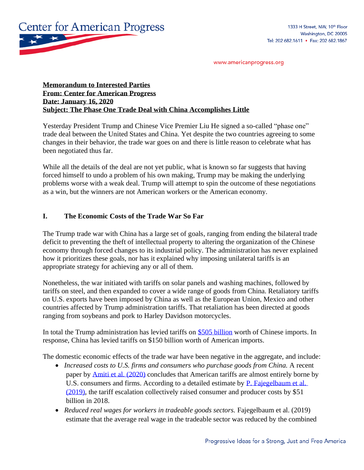

www.americanprogress.org

### **Memorandum to Interested Parties From: Center for American Progress Date: January 16, 2020 Subject: The Phase One Trade Deal with China Accomplishes Little**

Yesterday President Trump and Chinese Vice Premier Liu He signed a so-called "phase one" trade deal between the United States and China. Yet despite the two countries agreeing to some changes in their behavior, the trade war goes on and there is little reason to celebrate what has been negotiated thus far.

While all the details of the deal are not yet public, what is known so far suggests that having forced himself to undo a problem of his own making, Trump may be making the underlying problems worse with a weak deal. Trump will attempt to spin the outcome of these negotiations as a win, but the winners are not American workers or the American economy.

#### **I. The Economic Costs of the Trade War So Far**

The Trump trade war with China has a large set of goals, ranging from ending the bilateral trade deficit to preventing the theft of intellectual property to altering the organization of the Chinese economy through forced changes to its industrial policy. The administration has never explained how it prioritizes these goals, nor has it explained why imposing unilateral tariffs is an appropriate strategy for achieving any or all of them.

Nonetheless, the war initiated with tariffs on solar panels and washing machines, followed by tariffs on steel, and then expanded to cover a wide range of goods from China. Retaliatory tariffs on U.S. exports have been imposed by China as well as the European Union, Mexico and other countries affected by Trump administration tariffs. That retaliation has been directed at goods ranging from soybeans and pork to Harley Davidson motorcycles.

In total the Trump administration has levied tariffs on [\\$505 billion](https://fas.org/sgp/crs/row/R45949.pdf) worth of Chinese imports. In response, China has levied tariffs on \$150 billion worth of American imports.

The domestic economic effects of the trade war have been negative in the aggregate, and include:

- *Increased costs to U.S. firms and consumers who purchase goods from China.* A recent paper by [Amiti et al. \(2020\)](https://www.nber.org/papers/w26610) concludes that American tariffs are almost entirely borne by U.S. consumers and firms. According to a detailed estimate by P. Fajegelbaum et al. [\(2019\),](https://academic.oup.com/qje/article/135/1/1/5626442) the tariff escalation collectively raised consumer and producer costs by \$51 billion in 2018.
- *Reduced real wages for workers in tradeable goods sectors.* Fajegelbaum et al. (2019) estimate that the average real wage in the tradeable sector was reduced by the combined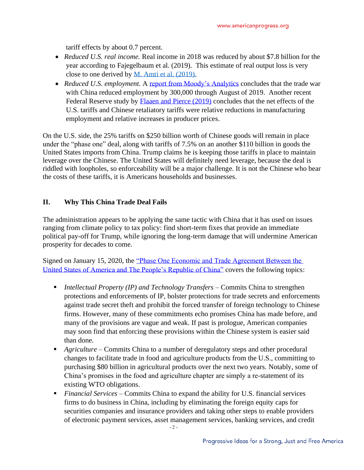tariff effects by about 0.7 percent.

- *Reduced U.S. real income.* Real income in 2018 was reduced by about \$7.8 billion for the year according to Fajegelbaum et al. (2019). This estimate of real output loss is very close to one derived by [M. Amti et al. \(2019\).](http://www.princeton.edu/~reddings/papers/CEPR-DP13564.pdf)
- *Reduced U.S. employment.* A [report from Moody's Analytics](https://www.moodysanalytics.com/-/media/article/2019/trade-war-chicken.pdf) concludes that the trade war with China reduced employment by 300,000 through August of 2019. Another recent Federal Reserve study by [Flaaen and Pierce \(2019\)](https://www.federalreserve.gov/econres/feds/files/2019086pap.pdf?fbclid=IwAR2cYHjRksbEhNQAzb229LvVuYczSt451hFNWCvb17nJoHfZibou3kEucow) concludes that the net effects of the U.S. tariffs and Chinese retaliatory tariffs were relative reductions in manufacturing employment and relative increases in producer prices.

On the U.S. side, the 25% tariffs on \$250 billion worth of Chinese goods will remain in place under the "phase one" deal, along with tariffs of 7.5% on an another \$110 billion in goods the United States imports from China. Trump claims he is keeping those tariffs in place to maintain leverage over the Chinese. The United States will definitely need leverage, because the deal is riddled with loopholes, so enforceability will be a major challenge. It is not the Chinese who bear the costs of these tariffs, it is Americans households and businesses.

## **II. Why This China Trade Deal Fails**

The administration appears to be applying the same tactic with China that it has used on issues ranging from climate policy to tax policy: find short-term fixes that provide an immediate political pay-off for Trump, while ignoring the long-term damage that will undermine American prosperity for decades to come.

Signed on January 15, 2020, the ["Phase One Economic and Trade Agreement Between the](https://ustr.gov/about-us/policy-offices/press-office/press-releases/2020/january/economic-and-trade-agreement-between-government-united-states-and-government-peoples-republic-china)  [United States of America and The People's Republic of China"](https://ustr.gov/about-us/policy-offices/press-office/press-releases/2020/january/economic-and-trade-agreement-between-government-united-states-and-government-peoples-republic-china) covers the following topics:

- *Intellectual Property (IP) and Technology Transfers* Commits China to strengthen protections and enforcements of IP, bolster protections for trade secrets and enforcements against trade secret theft and prohibit the forced transfer of foreign technology to Chinese firms. However, many of these commitments echo promises China has made before, and many of the provisions are vague and weak. If past is prologue, American companies may soon find that enforcing these provisions within the Chinese system is easier said than done.
- *Agriculture* Commits China to a number of deregulatory steps and other procedural changes to facilitate trade in food and agriculture products from the U.S., committing to purchasing \$80 billion in agricultural products over the next two years. Notably, some of China's promises in the food and agriculture chapter are simply a re-statement of its existing WTO obligations.
- *Financial Services* Commits China to expand the ability for U.S. financial services firms to do business in China, including by eliminating the foreign equity caps for securities companies and insurance providers and taking other steps to enable providers of electronic payment services, asset management services, banking services, and credit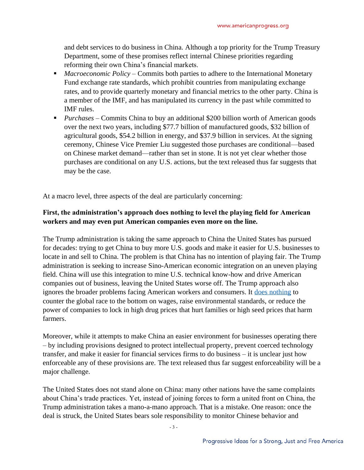and debt services to do business in China. Although a top priority for the Trump Treasury Department, some of these promises reflect internal Chinese priorities regarding reforming their own China's financial markets.

- *Macroeconomic Policy* Commits both parties to adhere to the International Monetary Fund exchange rate standards, which prohibit countries from manipulating exchange rates, and to provide quarterly monetary and financial metrics to the other party. China is a member of the IMF, and has manipulated its currency in the past while committed to IMF rules.
- *Purchases* Commits China to buy an additional \$200 billion worth of American goods over the next two years, including \$77.7 billion of manufactured goods, \$32 billion of agricultural goods, \$54.2 billion in energy, and \$37.9 billion in services. At the signing ceremony, Chinese Vice Premier Liu suggested those purchases are conditional—based on Chinese market demand—rather than set in stone. It is not yet clear whether those purchases are conditional on any U.S. actions, but the text released thus far suggests that may be the case.

At a macro level, three aspects of the deal are particularly concerning:

# **First, the administration's approach does nothing to level the playing field for American workers and may even put American companies even more on the line.**

The Trump administration is taking the same approach to China the United States has pursued for decades: trying to get China to buy more U.S. goods and make it easier for U.S. businesses to locate in and sell to China. The problem is that China has no intention of playing fair. The Trump administration is seeking to increase Sino-American economic integration on an uneven playing field. China will use this integration to mine U.S. technical know-how and drive American companies out of business, leaving the United States worse off. The Trump approach also ignores the broader problems facing American workers and consumers. It [does nothing](https://www.americanprogress.org/issues/economy/reports/2019/02/27/466705/u-s-trade-policy-north-america-china-beyond/) to counter the global race to the bottom on wages, raise environmental standards, or reduce the power of companies to lock in high drug prices that hurt families or high seed prices that harm farmers.

Moreover, while it attempts to make China an easier environment for businesses operating there – by including provisions designed to protect intellectual property, prevent coerced technology transfer, and make it easier for financial services firms to do business – it is unclear just how enforceable any of these provisions are. The text released thus far suggest enforceability will be a major challenge.

The United States does not stand alone on China: many other nations have the same complaints about China's trade practices. Yet, instead of joining forces to form a united front on China, the Trump administration takes a mano-a-mano approach. That is a mistake. One reason: once the deal is struck, the United States bears sole responsibility to monitor Chinese behavior and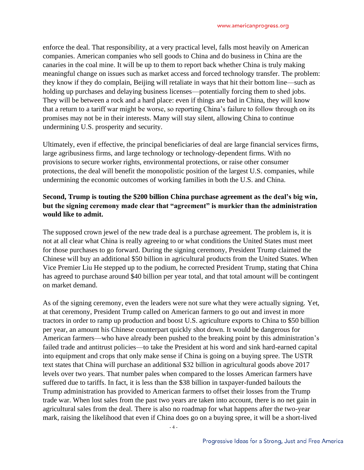enforce the deal. That responsibility, at a very practical level, falls most heavily on American companies. American companies who sell goods to China and do business in China are the canaries in the coal mine. It will be up to them to report back whether China is truly making meaningful change on issues such as market access and forced technology transfer. The problem: they know if they do complain, Beijing will retaliate in ways that hit their bottom line—such as holding up purchases and delaying business licenses—potentially forcing them to shed jobs. They will be between a rock and a hard place: even if things are bad in China, they will know that a return to a tariff war might be worse, so reporting China's failure to follow through on its promises may not be in their interests. Many will stay silent, allowing China to continue undermining U.S. prosperity and security.

Ultimately, even if effective, the principal beneficiaries of deal are large financial services firms, large agribusiness firms, and large technology or technology-dependent firms. With no provisions to secure worker rights, environmental protections, or raise other consumer protections, the deal will benefit the monopolistic position of the largest U.S. companies, while undermining the economic outcomes of working families in both the U.S. and China.

# **Second, Trump is touting the \$200 billion China purchase agreement as the deal's big win, but the signing ceremony made clear that "agreement" is murkier than the administration would like to admit.**

The supposed crown jewel of the new trade deal is a purchase agreement. The problem is, it is not at all clear what China is really agreeing to or what conditions the United States must meet for those purchases to go forward. During the signing ceremony, President Trump claimed the Chinese will buy an additional \$50 billion in agricultural products from the United States. When Vice Premier Liu He stepped up to the podium, he corrected President Trump, stating that China has agreed to purchase around \$40 billion per year total, and that total amount will be contingent on market demand.

As of the signing ceremony, even the leaders were not sure what they were actually signing. Yet, at that ceremony, President Trump called on American farmers to go out and invest in more tractors in order to ramp up production and boost U.S. agriculture exports to China to \$50 billion per year, an amount his Chinese counterpart quickly shot down. It would be dangerous for American farmers—who have already been pushed to the breaking point by this administration's failed trade and antitrust policies—to take the President at his word and sink hard-earned capital into equipment and crops that only make sense if China is going on a buying spree. The USTR text states that China will purchase an additional \$32 billion in agricultural goods above 2017 levels over two years. That number pales when compared to the losses American farmers have suffered due to tariffs. In fact, it is less than the \$38 billion in taxpayer-funded bailouts the Trump administration has provided to American farmers to offset their losses from the Trump trade war. When lost sales from the past two years are taken into account, there is no net gain in agricultural sales from the deal. There is also no roadmap for what happens after the two-year mark, raising the likelihood that even if China does go on a buying spree, it will be a short-lived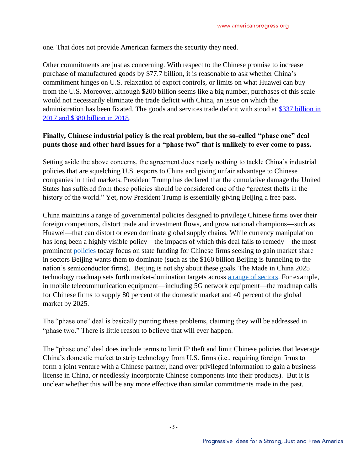one. That does not provide American farmers the security they need.

Other commitments are just as concerning. With respect to the Chinese promise to increase purchase of manufactured goods by \$77.7 billion, it is reasonable to ask whether China's commitment hinges on U.S. relaxation of export controls, or limits on what Huawei can buy from the U.S. Moreover, although \$200 billion seems like a big number, purchases of this scale would not necessarily eliminate the trade deficit with China, an issue on which the administration has been fixated. The goods and services trade deficit with stood at [\\$337 billion in](https://www.bea.gov/data/intl-trade-investment/international-trade-goods-and-services)  [2017 and \\$380 billion in 2018.](https://www.bea.gov/data/intl-trade-investment/international-trade-goods-and-services)

## **Finally, Chinese industrial policy is the real problem, but the so-called "phase one" deal punts those and other hard issues for a "phase two" that is unlikely to ever come to pass.**

Setting aside the above concerns, the agreement does nearly nothing to tackle China's industrial policies that are squelching U.S. exports to China and giving unfair advantage to Chinese companies in third markets. President Trump has declared that the cumulative damage the United States has suffered from those policies should be considered one of the "greatest thefts in the history of the world." Yet, now President Trump is essentially giving Beijing a free pass.

China maintains a range of governmental policies designed to privilege Chinese firms over their foreign competitors, distort trade and investment flows, and grow national champions—such as Huawei—that can distort or even dominate global supply chains. While currency manipulation has long been a highly visible policy—the impacts of which this deal fails to remedy—the most prominent [policies](https://csis-prod.s3.amazonaws.com/s3fs-public/publication/160521_Kennedy_PerfectingChinaInc_Web.pdf) today focus on state funding for Chinese firms seeking to gain market share in sectors Beijing wants them to dominate (such as the \$160 billion Beijing is funneling to the nation's semiconductor firms). Beijing is not shy about these goals. The Made in China 2025 technology roadmap sets forth market-domination targets across [a range of sectors.](https://www.uschina.org/sites/default/files/2-2-16%20Sector%20and%20Localization%20Targets%20for%20Made%20in%20China%202025.pdf) For example, in mobile telecommunication equipment—including 5G network equipment—the roadmap calls for Chinese firms to supply 80 percent of the domestic market and 40 percent of the global market by 2025.

The "phase one" deal is basically punting these problems, claiming they will be addressed in "phase two." There is little reason to believe that will ever happen.

The "phase one" deal does include terms to limit IP theft and limit Chinese policies that leverage China's domestic market to strip technology from U.S. firms (i.e., requiring foreign firms to form a joint venture with a Chinese partner, hand over privileged information to gain a business license in China, or needlessly incorporate Chinese components into their products). But it is unclear whether this will be any more effective than similar commitments made in the past.